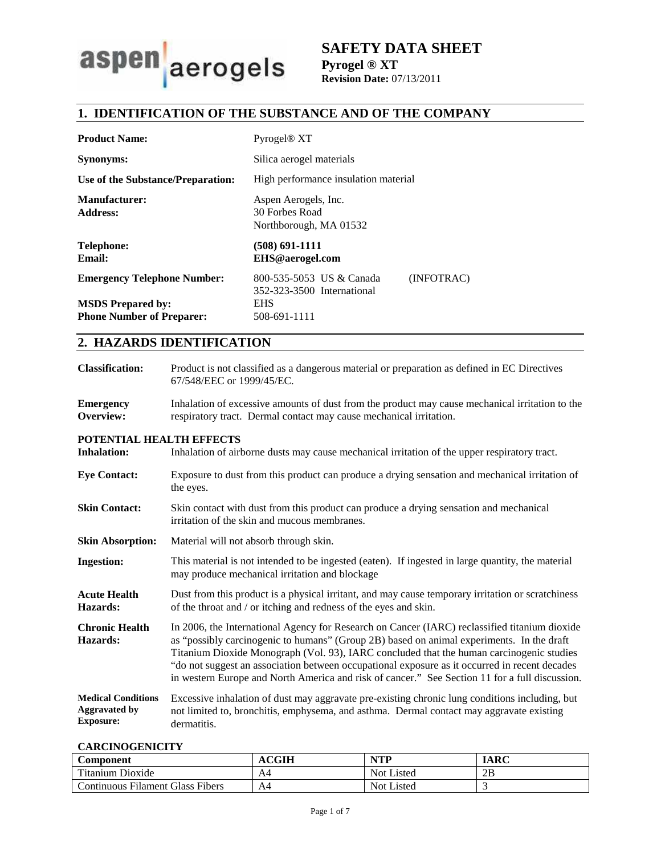

# **SAFETY DATA SHEET Pyrogel ® XT Revision Date:** 07/13/2011

# **1. IDENTIFICATION OF THE SUBSTANCE AND OF THE COMPANY**

| <b>Product Name:</b>                                         | Pyrogel <sup>®</sup> XT                                              |  |
|--------------------------------------------------------------|----------------------------------------------------------------------|--|
| <b>Synonyms:</b>                                             | Silica aerogel materials                                             |  |
| Use of the Substance/Preparation:                            | High performance insulation material                                 |  |
| <b>Manufacturer:</b><br><b>Address:</b>                      | Aspen Aerogels, Inc.<br>30 Forbes Road<br>Northborough, MA 01532     |  |
| Telephone:<br><b>Email:</b>                                  | (508) 691-1111<br>EHS@aerogel.com                                    |  |
| <b>Emergency Telephone Number:</b>                           | (INFOTRAC)<br>800-535-5053 US & Canada<br>352-323-3500 International |  |
| <b>MSDS</b> Prepared by:<br><b>Phone Number of Preparer:</b> | <b>EHS</b><br>508-691-1111                                           |  |

# **2. HAZARDS IDENTIFICATION**

| <b>Classification:</b>                                                | Product is not classified as a dangerous material or preparation as defined in EC Directives<br>67/548/EEC or 1999/45/EC.                                                                                                                                                                                                                                                                                                                                                                 |
|-----------------------------------------------------------------------|-------------------------------------------------------------------------------------------------------------------------------------------------------------------------------------------------------------------------------------------------------------------------------------------------------------------------------------------------------------------------------------------------------------------------------------------------------------------------------------------|
| <b>Emergency</b><br>Overview:                                         | Inhalation of excessive amounts of dust from the product may cause mechanical irritation to the<br>respiratory tract. Dermal contact may cause mechanical irritation.                                                                                                                                                                                                                                                                                                                     |
| POTENTIAL HEALTH EFFECTS<br><b>Inhalation:</b>                        | Inhalation of airborne dusts may cause mechanical irritation of the upper respiratory tract.                                                                                                                                                                                                                                                                                                                                                                                              |
| <b>Eye Contact:</b>                                                   | Exposure to dust from this product can produce a drying sensation and mechanical irritation of<br>the eyes.                                                                                                                                                                                                                                                                                                                                                                               |
| <b>Skin Contact:</b>                                                  | Skin contact with dust from this product can produce a drying sensation and mechanical<br>irritation of the skin and mucous membranes.                                                                                                                                                                                                                                                                                                                                                    |
| <b>Skin Absorption:</b>                                               | Material will not absorb through skin.                                                                                                                                                                                                                                                                                                                                                                                                                                                    |
| <b>Ingestion:</b>                                                     | This material is not intended to be ingested (eaten). If ingested in large quantity, the material<br>may produce mechanical irritation and blockage                                                                                                                                                                                                                                                                                                                                       |
| <b>Acute Health</b><br><b>Hazards:</b>                                | Dust from this product is a physical irritant, and may cause temporary irritation or scratchiness<br>of the throat and / or itching and redness of the eyes and skin.                                                                                                                                                                                                                                                                                                                     |
| <b>Chronic Health</b><br><b>Hazards:</b>                              | In 2006, the International Agency for Research on Cancer (IARC) reclassified titanium dioxide<br>as "possibly carcinogenic to humans" (Group 2B) based on animal experiments. In the draft<br>Titanium Dioxide Monograph (Vol. 93), IARC concluded that the human carcinogenic studies<br>"do not suggest an association between occupational exposure as it occurred in recent decades<br>in western Europe and North America and risk of cancer." See Section 11 for a full discussion. |
| <b>Medical Conditions</b><br><b>Aggravated by</b><br><b>Exposure:</b> | Excessive inhalation of dust may aggravate pre-existing chronic lung conditions including, but<br>not limited to, bronchitis, emphysema, and asthma. Dermal contact may aggravate existing<br>dermatitis.                                                                                                                                                                                                                                                                                 |

### **CARCINOGENICITY**

| Component                        | <b>ACGIH</b> | <b>NTP</b> | <b>IARC</b> |
|----------------------------------|--------------|------------|-------------|
| Titanium Dioxide                 | A4           | Not Listed | 2Β          |
| Continuous Filament Glass Fibers | A4           | Not Listed |             |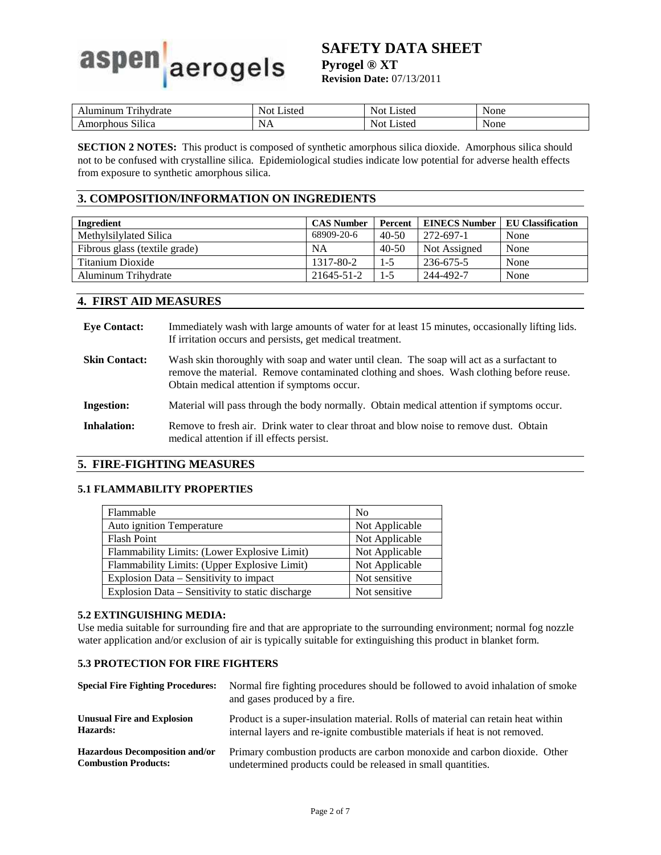# aerogels aspen

# **SAFETY DATA SHEET**

**Pyrogel ® XT** 

**Revision Date:** 07/13/2011

| rihvdrate                                     | isted            | $\sim$      | None |
|-----------------------------------------------|------------------|-------------|------|
| ۱11m                                          | - Not            | _ısted      |      |
| $\sim \cdot \cdot \cdot$<br>Silica<br>. •ОЦ., | N<br><b>TITT</b> | _ısted<br>- | None |

**SECTION 2 NOTES:** This product is composed of synthetic amorphous silica dioxide. Amorphous silica should not to be confused with crystalline silica. Epidemiological studies indicate low potential for adverse health effects from exposure to synthetic amorphous silica.

# **3. COMPOSITION/INFORMATION ON INGREDIENTS**

| Ingredient                    | <b>CAS Number</b> | Percent   | <b>EINECS Number</b> | <b>EU Classification</b> |
|-------------------------------|-------------------|-----------|----------------------|--------------------------|
| Methylsilylated Silica        | 68909-20-6        | $40-50$   | 272-697-1            | None                     |
| Fibrous glass (textile grade) | NA                | $40 - 50$ | Not Assigned         | None                     |
| Titanium Dioxide              | 1317-80-2         | $1-5$     | 236-675-5            | None                     |
| Aluminum Trihydrate           | 21645-51-2        | $1 - 5$   | 244-492-7            | None                     |

### **4. FIRST AID MEASURES**

| <b>Eve Contact:</b>  | Immediately wash with large amounts of water for at least 15 minutes, occasionally lifting lids.<br>If irritation occurs and persists, get medical treatment.                                                                         |
|----------------------|---------------------------------------------------------------------------------------------------------------------------------------------------------------------------------------------------------------------------------------|
| <b>Skin Contact:</b> | Wash skin thoroughly with soap and water until clean. The soap will act as a surfactant to<br>remove the material. Remove contaminated clothing and shoes. Wash clothing before reuse.<br>Obtain medical attention if symptoms occur. |
| <b>Ingestion:</b>    | Material will pass through the body normally. Obtain medical attention if symptoms occur.                                                                                                                                             |
| Inhalation:          | Remove to fresh air. Drink water to clear throat and blow noise to remove dust. Obtain<br>medical attention if ill effects persist.                                                                                                   |

# **5. FIRE-FIGHTING MEASURES**

### **5.1 FLAMMABILITY PROPERTIES**

| Flammable                                        | N <sub>o</sub> |
|--------------------------------------------------|----------------|
| Auto ignition Temperature                        | Not Applicable |
| <b>Flash Point</b>                               | Not Applicable |
| Flammability Limits: (Lower Explosive Limit)     | Not Applicable |
| Flammability Limits: (Upper Explosive Limit)     | Not Applicable |
| Explosion Data – Sensitivity to impact           | Not sensitive  |
| Explosion Data – Sensitivity to static discharge | Not sensitive  |

### **5.2 EXTINGUISHING MEDIA:**

Use media suitable for surrounding fire and that are appropriate to the surrounding environment; normal fog nozzle water application and/or exclusion of air is typically suitable for extinguishing this product in blanket form.

### **5.3 PROTECTION FOR FIRE FIGHTERS**

| <b>Special Fire Fighting Procedures:</b> | Normal fire fighting procedures should be followed to avoid inhalation of smoke<br>and gases produced by a fire. |
|------------------------------------------|------------------------------------------------------------------------------------------------------------------|
| <b>Unusual Fire and Explosion</b>        | Product is a super-insulation material. Rolls of material can retain heat within                                 |
| Hazards:                                 | internal layers and re-ignite combustible materials if heat is not removed.                                      |
| <b>Hazardous Decomposition and/or</b>    | Primary combustion products are carbon monoxide and carbon dioxide. Other                                        |
| <b>Combustion Products:</b>              | undetermined products could be released in small quantities.                                                     |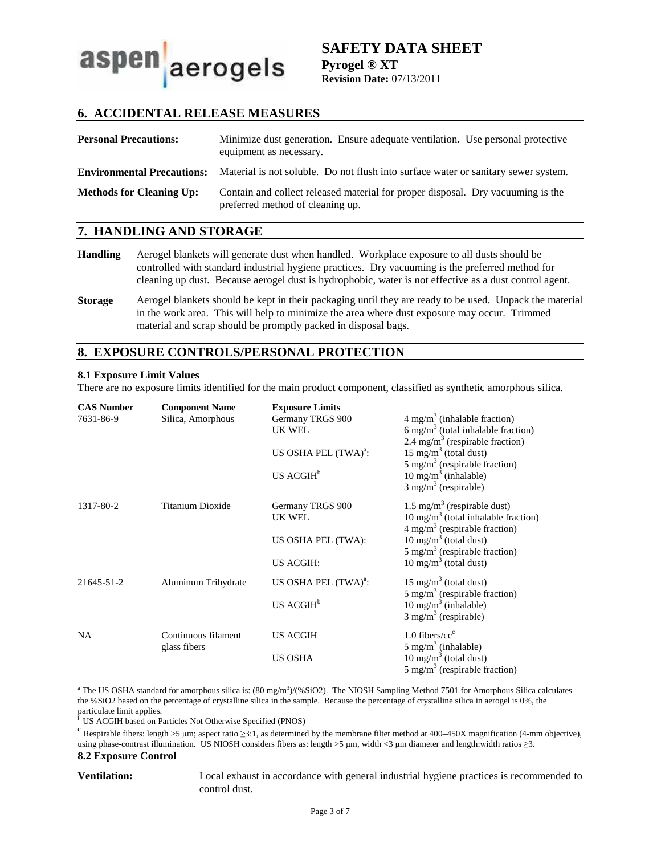aspen aerogels

**SAFETY DATA SHEET Pyrogel ® XT Revision Date:** 07/13/2011

# **6. ACCIDENTAL RELEASE MEASURES**

| <b>Personal Precautions:</b>      | Minimize dust generation. Ensure adequate ventilation. Use personal protective<br>equipment as necessary.           |
|-----------------------------------|---------------------------------------------------------------------------------------------------------------------|
| <b>Environmental Precautions:</b> | Material is not soluble. Do not flush into surface water or sanitary sewer system.                                  |
| <b>Methods for Cleaning Up:</b>   | Contain and collect released material for proper disposal. Dry vacuuming is the<br>preferred method of cleaning up. |

# **7. HANDLING AND STORAGE**

- **Handling** Aerogel blankets will generate dust when handled. Workplace exposure to all dusts should be controlled with standard industrial hygiene practices. Dry vacuuming is the preferred method for cleaning up dust. Because aerogel dust is hydrophobic, water is not effective as a dust control agent.
- **Storage** Aerogel blankets should be kept in their packaging until they are ready to be used. Unpack the material in the work area. This will help to minimize the area where dust exposure may occur. Trimmed material and scrap should be promptly packed in disposal bags.

### **8. EXPOSURE CONTROLS/PERSONAL PROTECTION**

#### **8.1 Exposure Limit Values**

There are no exposure limits identified for the main product component, classified as synthetic amorphous silica.

| <b>CAS Number</b> | <b>Component Name</b> | <b>Exposure Limits</b>           |                                                 |
|-------------------|-----------------------|----------------------------------|-------------------------------------------------|
| 7631-86-9         | Silica, Amorphous     | Germany TRGS 900                 | $4 \text{ mg/m}^3$ (inhalable fraction)         |
|                   |                       | <b>UK WEL</b>                    | 6 mg/m <sup>3</sup> (total inhalable fraction)  |
|                   |                       |                                  | 2.4 mg/m <sup>3</sup> (respirable fraction)     |
|                   |                       | US OSHA PEL (TWA) <sup>a</sup> : | $15 \text{ mg/m}^3$ (total dust)                |
|                   |                       |                                  | 5 mg/m <sup>3</sup> (respirable fraction)       |
|                   |                       | US ACGIH <sup>b</sup>            | $10 \text{ mg/m}^3$ (inhalable)                 |
|                   |                       |                                  | $3$ mg/m <sup>3</sup> (respirable)              |
| 1317-80-2         | Titanium Dioxide      | Germany TRGS 900                 | $1.5 \text{ mg/m}^3$ (respirable dust)          |
|                   |                       | UK WEL                           | 10 mg/m <sup>3</sup> (total inhalable fraction) |
|                   |                       |                                  | $4 \text{ mg/m}^3$ (respirable fraction)        |
|                   |                       | US OSHA PEL (TWA):               | $10 \text{ mg/m}^3$ (total dust)                |
|                   |                       |                                  | 5 mg/m <sup>3</sup> (respirable fraction)       |
|                   |                       | <b>US ACGIH:</b>                 | $10 \text{ mg/m}^3$ (total dust)                |
| 21645-51-2        | Aluminum Trihydrate   | US OSHA PEL (TWA) <sup>a</sup> : | 15 mg/m <sup>3</sup> (total dust)               |
|                   |                       |                                  | 5 mg/m <sup>3</sup> (respirable fraction)       |
|                   |                       | US ACGIH <sup>b</sup>            | $10 \text{ mg/m}^3$ (inhalable)                 |
|                   |                       |                                  | $3$ mg/m <sup>3</sup> (respirable)              |
| NA.               | Continuous filament   | <b>US ACGIH</b>                  | $1.0$ fibers/cc <sup>c</sup>                    |
|                   | glass fibers          |                                  | $5 \text{ mg/m}^3$ (inhalable)                  |
|                   |                       | <b>US OSHA</b>                   | $10 \text{ mg/m}^3$ (total dust)                |
|                   |                       |                                  | 5 mg/m <sup>3</sup> (respirable fraction)       |

<sup>a</sup> The US OSHA standard for amorphous silica is:  $(80 \text{ mg/m}^3)/(96 \text{SiO2})$ . The NIOSH Sampling Method 7501 for Amorphous Silica calculates the %SiO2 based on the percentage of crystalline silica in the sample. Because the percentage of crystalline silica in aerogel is 0%, the particulate limit applies. b US ACGIH based on Particles Not Otherwise Specified (PNOS)

<sup>c</sup> Respirable fibers: length >5 µm; aspect ratio  $\geq$ 3:1, as determined by the membrane filter method at 400–450X magnification (4-mm objective), using phase-contrast illumination. US NIOSH considers fibers as: length >5 µm, width <3 µm diameter and length:width ratios ≥3.

### **8.2 Exposure Control**

**Ventilation:** Local exhaust in accordance with general industrial hygiene practices is recommended to control dust.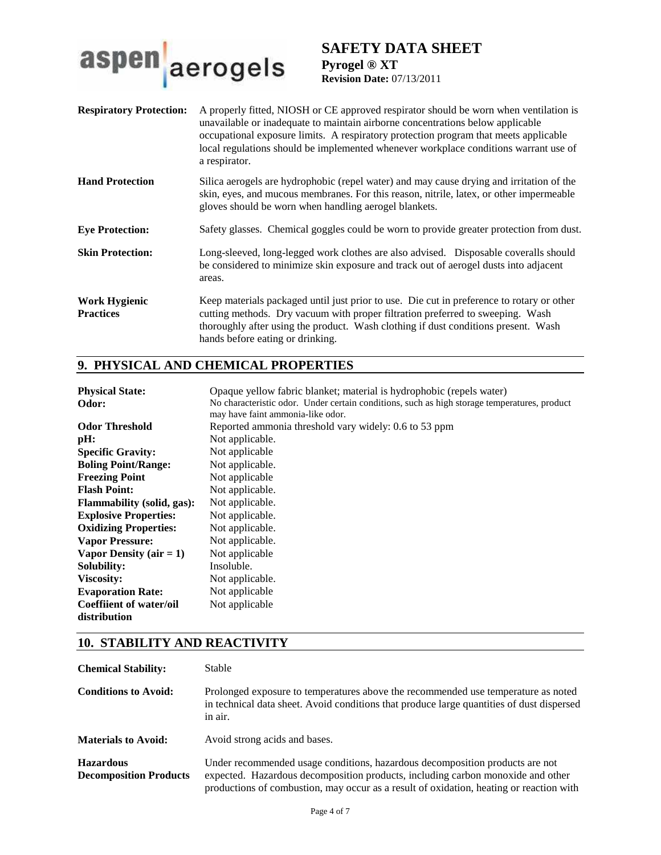

# **SAFETY DATA SHEET Pyrogel ® XT**

**Revision Date:** 07/13/2011

| <b>Respiratory Protection:</b>           | A properly fitted, NIOSH or CE approved respirator should be worn when ventilation is<br>unavailable or inadequate to maintain airborne concentrations below applicable<br>occupational exposure limits. A respiratory protection program that meets applicable<br>local regulations should be implemented whenever workplace conditions warrant use of<br>a respirator. |
|------------------------------------------|--------------------------------------------------------------------------------------------------------------------------------------------------------------------------------------------------------------------------------------------------------------------------------------------------------------------------------------------------------------------------|
| <b>Hand Protection</b>                   | Silica aerogels are hydrophobic (repel water) and may cause drying and irritation of the<br>skin, eyes, and mucous membranes. For this reason, nitrile, latex, or other impermeable<br>gloves should be worn when handling aerogel blankets.                                                                                                                             |
| <b>Eye Protection:</b>                   | Safety glasses. Chemical goggles could be worn to provide greater protection from dust.                                                                                                                                                                                                                                                                                  |
| <b>Skin Protection:</b>                  | Long-sleeved, long-legged work clothes are also advised. Disposable coveralls should<br>be considered to minimize skin exposure and track out of aerogel dusts into adjacent<br>areas.                                                                                                                                                                                   |
| <b>Work Hygienic</b><br><b>Practices</b> | Keep materials packaged until just prior to use. Die cut in preference to rotary or other<br>cutting methods. Dry vacuum with proper filtration preferred to sweeping. Wash<br>thoroughly after using the product. Wash clothing if dust conditions present. Wash<br>hands before eating or drinking.                                                                    |

# **9. PHYSICAL AND CHEMICAL PROPERTIES**

| <b>Physical State:</b>            | Opaque yellow fabric blanket; material is hydrophobic (repels water)                         |
|-----------------------------------|----------------------------------------------------------------------------------------------|
| Odor:                             | No characteristic odor. Under certain conditions, such as high storage temperatures, product |
|                                   | may have faint ammonia-like odor.                                                            |
| <b>Odor Threshold</b>             | Reported ammonia threshold vary widely: 0.6 to 53 ppm                                        |
| pH:                               | Not applicable.                                                                              |
| <b>Specific Gravity:</b>          | Not applicable                                                                               |
| <b>Boling Point/Range:</b>        | Not applicable.                                                                              |
| <b>Freezing Point</b>             | Not applicable                                                                               |
| <b>Flash Point:</b>               | Not applicable.                                                                              |
| <b>Flammability</b> (solid, gas): | Not applicable.                                                                              |
| <b>Explosive Properties:</b>      | Not applicable.                                                                              |
| <b>Oxidizing Properties:</b>      | Not applicable.                                                                              |
| <b>Vapor Pressure:</b>            | Not applicable.                                                                              |
| Vapor Density (air $= 1$ )        | Not applicable                                                                               |
| Solubility:                       | Insoluble.                                                                                   |
| Viscosity:                        | Not applicable.                                                                              |
| <b>Evaporation Rate:</b>          | Not applicable                                                                               |
| <b>Coeffiient of water/oil</b>    | Not applicable                                                                               |
| distribution                      |                                                                                              |

# **10. STABILITY AND REACTIVITY**

| <b>Chemical Stability:</b>                        | <b>Stable</b>                                                                                                                                                                                                                                              |
|---------------------------------------------------|------------------------------------------------------------------------------------------------------------------------------------------------------------------------------------------------------------------------------------------------------------|
| <b>Conditions to Avoid:</b>                       | Prolonged exposure to temperatures above the recommended use temperature as noted<br>in technical data sheet. Avoid conditions that produce large quantities of dust dispersed<br>in air.                                                                  |
| <b>Materials to Avoid:</b>                        | Avoid strong acids and bases.                                                                                                                                                                                                                              |
| <b>Hazardous</b><br><b>Decomposition Products</b> | Under recommended usage conditions, hazardous decomposition products are not<br>expected. Hazardous decomposition products, including carbon monoxide and other<br>productions of combustion, may occur as a result of oxidation, heating or reaction with |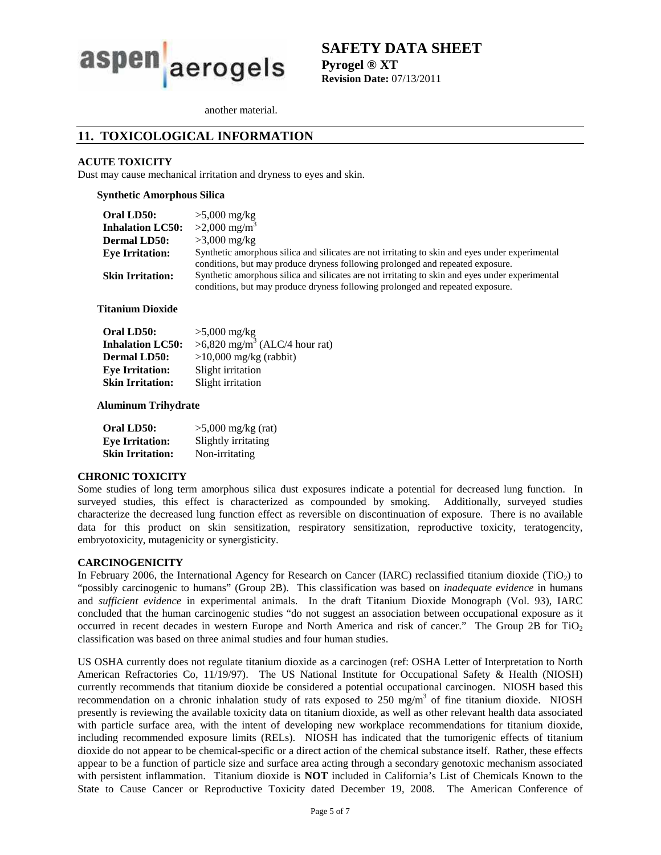

**SAFETY DATA SHEET Pyrogel ® XT Revision Date:** 07/13/2011

another material.

# **11. TOXICOLOGICAL INFORMATION**

### **ACUTE TOXICITY**

Dust may cause mechanical irritation and dryness to eyes and skin.

**Synthetic Amorphous Silica** 

| <b>Oral LD50:</b>       | $>5,000$ mg/kg                                                                                  |
|-------------------------|-------------------------------------------------------------------------------------------------|
| <b>Inhalation LC50:</b> | $>2,000 \text{ mg/m}^3$                                                                         |
| <b>Dermal LD50:</b>     | $>3,000$ mg/kg                                                                                  |
| <b>Eve Irritation:</b>  | Synthetic amorphous silica and silicates are not irritating to skin and eyes under experimental |
|                         | conditions, but may produce dryness following prolonged and repeated exposure.                  |
| <b>Skin Irritation:</b> | Synthetic amorphous silica and silicates are not irritating to skin and eyes under experimental |
|                         | conditions, but may produce dryness following prolonged and repeated exposure.                  |

**Titanium Dioxide** 

| Oral LD50:              | $>5,000$ mg/kg                            |
|-------------------------|-------------------------------------------|
| <b>Inhalation LC50:</b> | >6,820 mg/m <sup>3</sup> (ALC/4 hour rat) |
| <b>Dermal LD50:</b>     | $>10,000$ mg/kg (rabbit)                  |
| <b>Eye Irritation:</b>  | Slight irritation                         |
| <b>Skin Irritation:</b> | Slight irritation                         |

### **Aluminum Trihydrate**

| Oral LD50:              | $>5,000$ mg/kg (rat) |
|-------------------------|----------------------|
| <b>Eye Irritation:</b>  | Slightly irritating  |
| <b>Skin Irritation:</b> | Non-irritating       |

### **CHRONIC TOXICITY**

Some studies of long term amorphous silica dust exposures indicate a potential for decreased lung function. In surveyed studies, this effect is characterized as compounded by smoking. Additionally, surveyed studies characterize the decreased lung function effect as reversible on discontinuation of exposure. There is no available data for this product on skin sensitization, respiratory sensitization, reproductive toxicity, teratogencity, embryotoxicity, mutagenicity or synergisticity.

### **CARCINOGENICITY**

In February 2006, the International Agency for Research on Cancer (IARC) reclassified titanium dioxide (TiO<sub>2</sub>) to "possibly carcinogenic to humans" (Group 2B). This classification was based on *inadequate evidence* in humans and *sufficient evidence* in experimental animals. In the draft Titanium Dioxide Monograph (Vol. 93), IARC concluded that the human carcinogenic studies "do not suggest an association between occupational exposure as it occurred in recent decades in western Europe and North America and risk of cancer." The Group 2B for TiO<sub>2</sub> classification was based on three animal studies and four human studies.

US OSHA currently does not regulate titanium dioxide as a carcinogen (ref: OSHA Letter of Interpretation to North American Refractories Co, 11/19/97). The US National Institute for Occupational Safety & Health (NIOSH) currently recommends that titanium dioxide be considered a potential occupational carcinogen. NIOSH based this recommendation on a chronic inhalation study of rats exposed to 250 mg/m<sup>3</sup> of fine titanium dioxide. NIOSH presently is reviewing the available toxicity data on titanium dioxide, as well as other relevant health data associated with particle surface area, with the intent of developing new workplace recommendations for titanium dioxide, including recommended exposure limits (RELs). NIOSH has indicated that the tumorigenic effects of titanium dioxide do not appear to be chemical-specific or a direct action of the chemical substance itself. Rather, these effects appear to be a function of particle size and surface area acting through a secondary genotoxic mechanism associated with persistent inflammation. Titanium dioxide is **NOT** included in California's List of Chemicals Known to the State to Cause Cancer or Reproductive Toxicity dated December 19, 2008. The American Conference of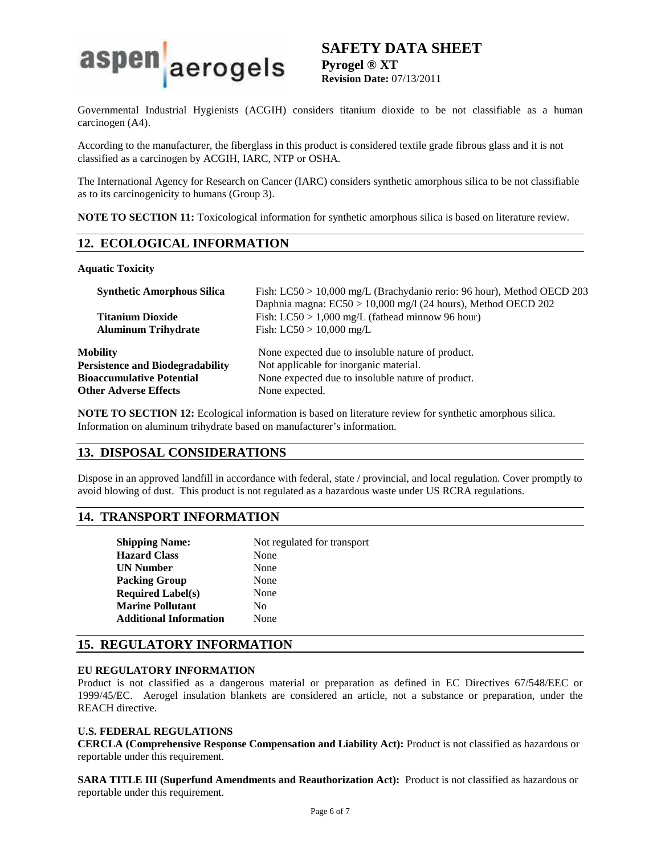

# **SAFETY DATA SHEET Pyrogel ® XT**

**Revision Date:** 07/13/2011

Governmental Industrial Hygienists (ACGIH) considers titanium dioxide to be not classifiable as a human carcinogen (A4).

According to the manufacturer, the fiberglass in this product is considered textile grade fibrous glass and it is not classified as a carcinogen by ACGIH, IARC, NTP or OSHA.

The International Agency for Research on Cancer (IARC) considers synthetic amorphous silica to be not classifiable as to its carcinogenicity to humans (Group 3).

**NOTE TO SECTION 11:** Toxicological information for synthetic amorphous silica is based on literature review.

# **12. ECOLOGICAL INFORMATION**

### **Aquatic Toxicity**

| <b>Synthetic Amorphous Silica</b>       | Fish: LC50 > 10,000 mg/L (Brachydanio rerio: 96 hour), Method OECD 203<br>Daphnia magna: $EC50 > 10,000$ mg/l (24 hours), Method OECD 202 |
|-----------------------------------------|-------------------------------------------------------------------------------------------------------------------------------------------|
| <b>Titanium Dioxide</b>                 | Fish: $LC50 > 1,000$ mg/L (fathead minnow 96 hour)                                                                                        |
| <b>Aluminum Trihydrate</b>              | Fish: $LC50 > 10,000$ mg/L                                                                                                                |
| Mobility                                | None expected due to insoluble nature of product.                                                                                         |
| <b>Persistence and Biodegradability</b> | Not applicable for inorganic material.                                                                                                    |
| <b>Bioaccumulative Potential</b>        | None expected due to insoluble nature of product.                                                                                         |
| <b>Other Adverse Effects</b>            | None expected.                                                                                                                            |

**NOTE TO SECTION 12:** Ecological information is based on literature review for synthetic amorphous silica. Information on aluminum trihydrate based on manufacturer's information.

# **13. DISPOSAL CONSIDERATIONS**

Dispose in an approved landfill in accordance with federal, state / provincial, and local regulation. Cover promptly to avoid blowing of dust. This product is not regulated as a hazardous waste under US RCRA regulations.

# **14. TRANSPORT INFORMATION**

| <b>Shipping Name:</b>         | Not regulated for transport |  |
|-------------------------------|-----------------------------|--|
| <b>Hazard Class</b>           | None                        |  |
| UN Number                     | None                        |  |
| Packing Group                 | None                        |  |
| <b>Required Label(s)</b>      | None                        |  |
| <b>Marine Pollutant</b>       | No                          |  |
| <b>Additional Information</b> | None                        |  |
|                               |                             |  |

# **15. REGULATORY INFORMATION**

### **EU REGULATORY INFORMATION**

Product is not classified as a dangerous material or preparation as defined in EC Directives 67/548/EEC or 1999/45/EC. Aerogel insulation blankets are considered an article, not a substance or preparation, under the REACH directive.

### **U.S. FEDERAL REGULATIONS**

**CERCLA (Comprehensive Response Compensation and Liability Act):** Product is not classified as hazardous or reportable under this requirement.

**SARA TITLE III (Superfund Amendments and Reauthorization Act):** Product is not classified as hazardous or reportable under this requirement.